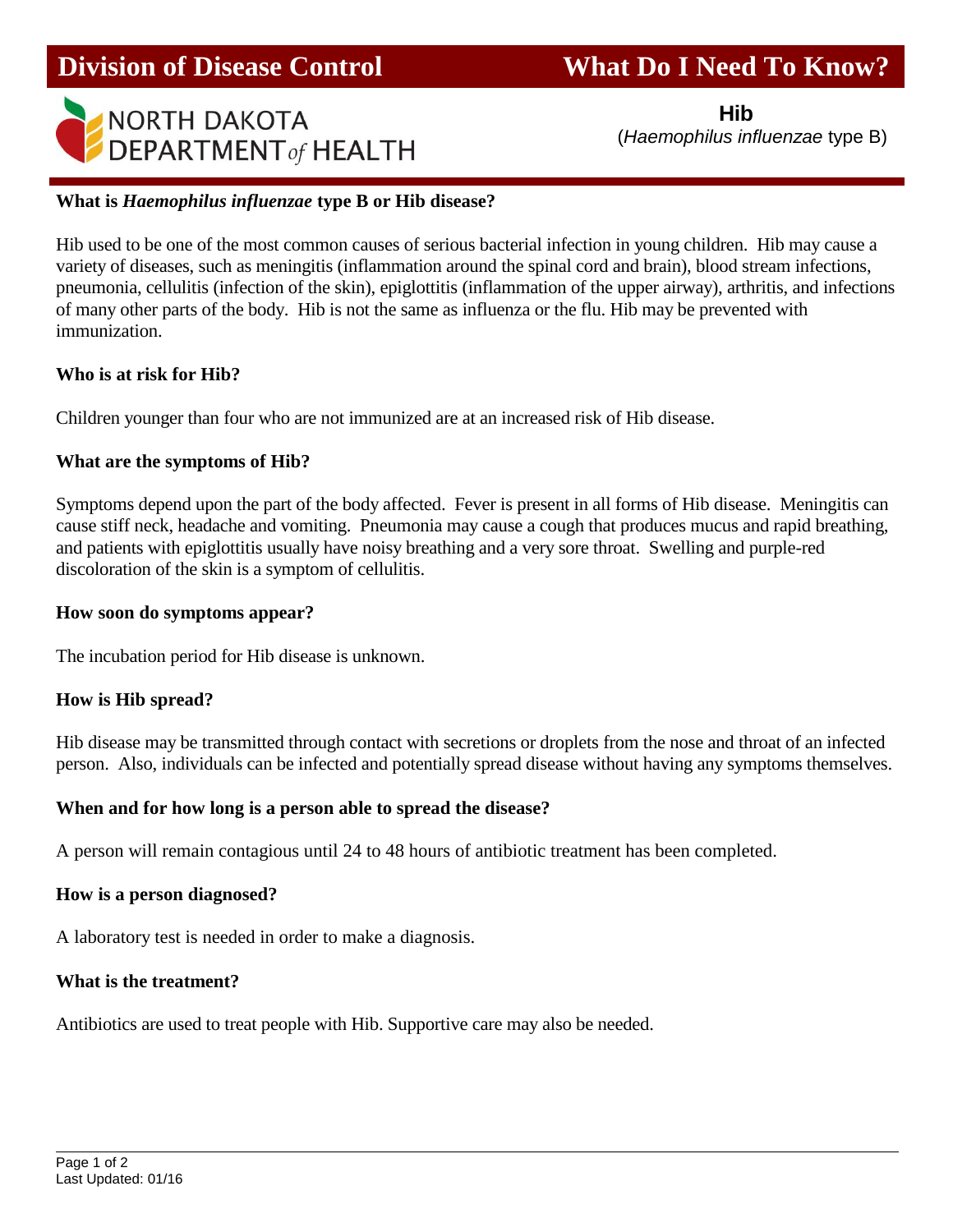# **Division of Disease Control What Do I Need To Know?**



**Hibbs** (1999) (1999) (1999) (1999) (1999) (1999)

(*Haemophilus influenzae* type B)

### **What is** *Haemophilus influenzae* **type B or Hib disease?**

Hib used to be one of the most common causes of serious bacterial infection in young children. Hib may cause a variety of diseases, such as meningitis (inflammation around the spinal cord and brain), blood stream infections, pneumonia, cellulitis (infection of the skin), epiglottitis (inflammation of the upper airway), arthritis, and infections of many other parts of the body. Hib is not the same as influenza or the flu. Hib may be prevented with immunization.

#### **Who is at risk for Hib?**

Children younger than four who are not immunized are at an increased risk of Hib disease.

#### **What are the symptoms of Hib?**

Symptoms depend upon the part of the body affected. Fever is present in all forms of Hib disease. Meningitis can cause stiff neck, headache and vomiting. Pneumonia may cause a cough that produces mucus and rapid breathing, and patients with epiglottitis usually have noisy breathing and a very sore throat. Swelling and purple-red discoloration of the skin is a symptom of cellulitis.

#### **How soon do symptoms appear?**

The incubation period for Hib disease is unknown.

### **How is Hib spread?**

Hib disease may be transmitted through contact with secretions or droplets from the nose and throat of an infected person. Also, individuals can be infected and potentially spread disease without having any symptoms themselves.

### **When and for how long is a person able to spread the disease?**

A person will remain contagious until 24 to 48 hours of antibiotic treatment has been completed.

### **How is a person diagnosed?**

A laboratory test is needed in order to make a diagnosis.

### **What is the treatment?**

Antibiotics are used to treat people with Hib. Supportive care may also be needed.